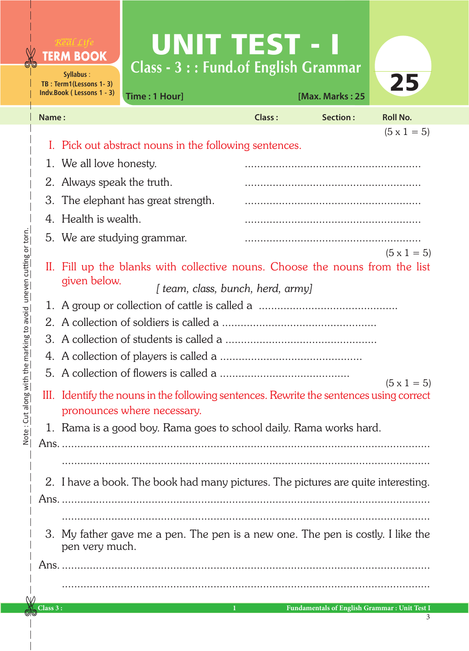|       | <b>TERM BOOK</b><br>Syllabus:<br>TB: Term1(Lessons 1-3)<br>Indv.Book (Lessons 1 - 3)                                                                   | UNIT TEST - T<br>Class - 3 :: Fund.of English Grammar<br>Time: 1 Hour] |               | [Max. Marks: 25 | 25                 |  |  |
|-------|--------------------------------------------------------------------------------------------------------------------------------------------------------|------------------------------------------------------------------------|---------------|-----------------|--------------------|--|--|
| Name: |                                                                                                                                                        |                                                                        | <b>Class:</b> | <b>Section:</b> | <b>Roll No.</b>    |  |  |
|       |                                                                                                                                                        |                                                                        |               |                 | $(5 \times 1 = 5)$ |  |  |
|       | Pick out abstract nouns in the following sentences.<br>1. We all love honesty.                                                                         |                                                                        |               |                 |                    |  |  |
| 2.    | Always speak the truth.                                                                                                                                |                                                                        |               |                 |                    |  |  |
| 3.    | The elephant has great strength.                                                                                                                       |                                                                        |               |                 |                    |  |  |
| 4.    | Health is wealth.                                                                                                                                      |                                                                        |               |                 |                    |  |  |
|       | 5. We are studying grammar.                                                                                                                            |                                                                        |               |                 |                    |  |  |
|       | $(5 \times 1 = 5)$<br>II. Fill up the blanks with collective nouns. Choose the nouns from the list<br>given below.<br>[team, class, bunch, herd, army] |                                                                        |               |                 |                    |  |  |
|       |                                                                                                                                                        |                                                                        |               |                 |                    |  |  |
|       |                                                                                                                                                        |                                                                        |               |                 |                    |  |  |
|       |                                                                                                                                                        |                                                                        |               |                 |                    |  |  |
|       |                                                                                                                                                        |                                                                        |               |                 |                    |  |  |
|       | $(5 \times 1 = 5)$<br>III. Identify the nouns in the following sentences. Rewrite the sentences using correct<br>pronounces where necessary.           |                                                                        |               |                 |                    |  |  |
|       | Rama is a good boy. Rama goes to school daily. Rama works hard.                                                                                        |                                                                        |               |                 |                    |  |  |
|       |                                                                                                                                                        |                                                                        |               |                 |                    |  |  |
|       |                                                                                                                                                        |                                                                        |               |                 |                    |  |  |
|       | 2. I have a book. The book had many pictures. The pictures are quite interesting.                                                                      |                                                                        |               |                 |                    |  |  |
|       |                                                                                                                                                        |                                                                        |               |                 |                    |  |  |
|       | 3. My father gave me a pen. The pen is a new one. The pen is costly. I like the<br>pen very much.                                                      |                                                                        |               |                 |                    |  |  |
|       |                                                                                                                                                        |                                                                        |               |                 |                    |  |  |
|       |                                                                                                                                                        |                                                                        |               |                 |                    |  |  |

0

**Class 3 : 1 Fundamentals of English Grammar : Unit Test I**